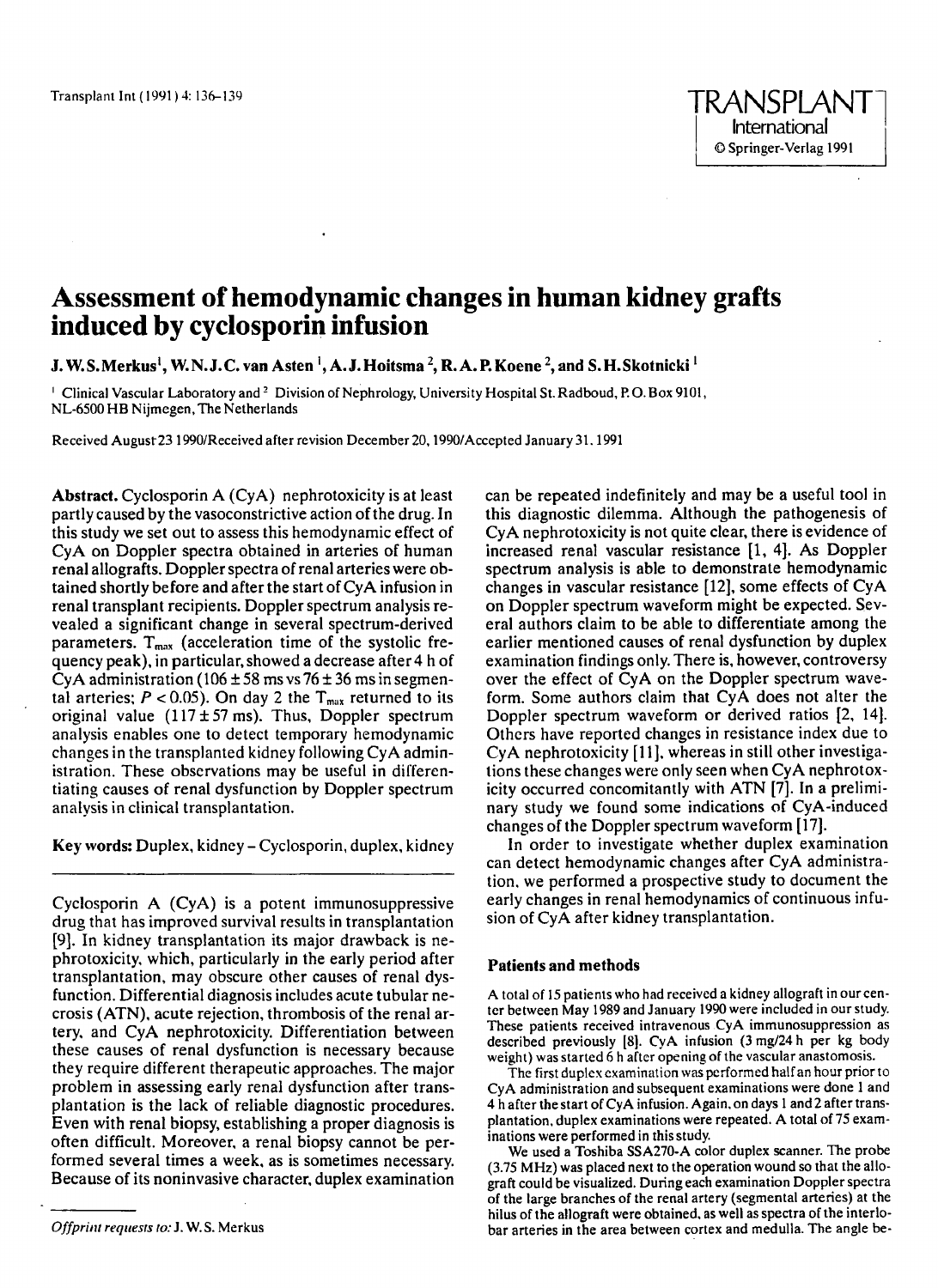# **Assessment of hemodynamic changes in human kidney grafts induced by cyclosporin infusion**

**J. W.S.Merkus', W.N.J.C. van Asten** ', **A. J.Hoitsma** \*, **R.A. P.Koene 2, and S.H.Skotnicki** '

<sup>1</sup> Clinical Vascular Laboratory and <sup>2</sup> Division of Nephrology, University Hospital St. Radboud, P.O. Box 9101, NL-6500 HB Nijmegen,The Netherlands

Received August23 1990/Received after revision December 20,1990/Acccpted January 31.1991

**Abstract.** Cyclosporin A (CyA) nephrotoxicity is at least partly caused by the vasoconstrictive action of the drug. In this study we set out to assess this hemodynamic effect of CyA on Doppler spectra obtained in arteries of human renal allografts. Doppler spectra of renal arteries were obtained shortly before and after the start of CyA infusion in renal transplant recipients. Doppler spectrum analysis revealed a significant change in several spectrum-derived parameters.  $T_{\text{max}}$  (acceleration time of the systolic frequency peak), in particular, showed a decrease after **4** h of CyA administration ( $106 \pm 58$  ms vs  $76 \pm 36$  ms in segmental arteries;  $P < 0.05$ ). On day 2 the  $T_{max}$  returned to its original value  $(117 \pm 57 \text{ ms})$ . Thus, Doppler spectrum analysis enables one to detect temporary hemodynamic changes in the transplanted kidney following CyA administration. These observations may be useful in differentiating causes of renal dysfunction by Doppler spectrum analysis in clinical transplantation.

**Key words:** Duplex, kidney - Cyclosporin, duplex. kidney

Cyclosporin A (CyA) is a potent immunosuppressive drug that has improved survival results in transplantation [9]. In kidney transplantation **its** major drawback is nephrotoxicity, which, particularly in the early period after transplantation, may obscure other causes **of** renal dysfunction. Differential diagnosis includes acute tubular necrosis (ATN). acute rejection, thrombosis of the renal artery. and CyA nephrotoxicity. Differentiation between these causes of renal dysfunction is necessary because they require different therapeutic approaches. The major problem in assessing early renal dysfunction after transplantation is the lack of reliable diagnostic procedures. Even with renal biopsy, establishing a proper diagnosis is often difficult. Moreover, a renal biopsy cannot be performed several times a week, as is sometimes necessary. Because of its noninvasive character, duplex examination

*Offpririt reqriesrs to:* J. **W.S.** Merkus

can be repeated indefinitely and may be a useful tool in this diagnostic dilemma. Although the pathogenesis of CyA nephrotoxicity is not quite clear, there **is** evidence of increased renal vascular resistance [l, **41.** As Doppler spectrum analysis is able to demonstrate hemodynamic changes in vascular resistance [12], some effects of CyA on Doppler spectrum waveform might be expected. Several authors claim to be able to differentiate among the earlier mentioned causes of renal dysfunction by duplex examination findings only. There is, however, controversy over the effect of CyA on the Doppler spectrum waveform. Some authors claim that CyA does not alter the Doppler spectrum waveform or derived ratios **[2, 141.**  Others have reported changes in resistance index due to CyA nephrotoxicity [ll]. whereas in still other investigalions these changes were only seen when CyA nephrotoxicity occurred concomitantly with ATN [7]. In a preliminary study we found some indications of CyA-induced changes of the Doppler spectrum waveform [17].

In order to investigate whether duplex examination can detect hemodynamic changes after CyA administration. we performed a prospective study to document the early changes in renal hemodynamics of continuous infusion of CyA after kidney transplantation.

#### **Patients and methods**

A total of **15** patients who had received a kidney allograft in ourcenter between May 1989 and January 1990 were included in our study. These patients received intravenous CyA immunosuppression as described previously *[8].* CyA infusion (3 **mg/24** h per kg body weight) was started 6 h after opening of the vascular anastomosis.

The first duples examination was performed half an hour prior to CyA administration and subsequent examinations were done 1 and **4** h after thestart of CyA infusion. Again, **on** days 1 and2 after transplantation, duplex examinations were repeated. A total of 75 examinations were performed in thisstudy.

We used a Toshiba SSA270-A color duplex scanner. The probe (3.75 MHz) was placed next to the operation wound so that the allograft could be visualized. During each examination Doppler spectra of the large branches of the renal artery (segmental arteries) at the hilus of the allograft were obtained, **as** well as spectra of the interlobar arteries in the area between cortex and medulla. The angle be-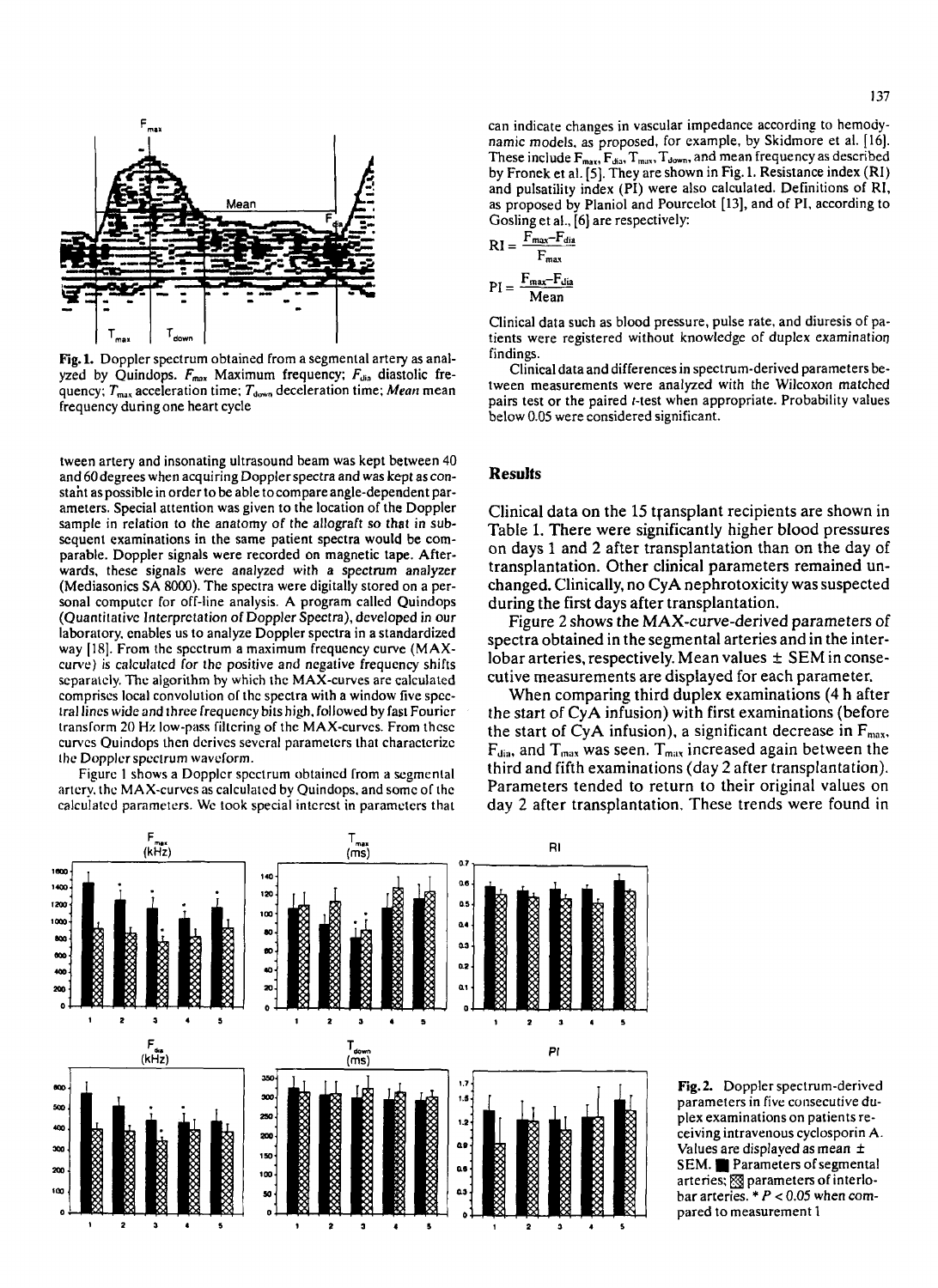

**Fig.1.** Doppler spectrum obtained from a segmental artery as analyzed by Quindops.  $F_{max}$  Maximum frequency;  $F_{dia}$  diastolic frequency;  $T_{\text{max}}$  acceleration time;  $T_{\text{down}}$  deceleration time; *Mean* mean frequency during one heart cycle

tween artery and insonating ultrasound beam was kept between 40 and 60 degrees when acquiring Doppler spectra and was kept as **con**staht **as** possible in order to be able tocompare angle-dependent parameters. Special attention was given to the location of the Doppler sample in relation to the anatomy of the allograft so that in subsequent examinations in the same patient spectra would be comparable. Doppler signals were recorded on magnetic tape. Afterwards, these signals were analyzed with *a* spectrum analyzer (Mediasonics SA *8000).* The spectra were digitally stored on a personal computcr for off-line analysis. A program called Quindops (Quantitativc Interpretation of Doppler Spectra), developed in our laboratory. enables us to analyze Doppler spectra in a standardized way **[18].** From the spcctrum a maximum frequency curve (MAXcurve) is calculatcd lor the positive and negative frequency shifts scparatcly. **The** algorithm by which the MAX-curves are calculated comprises local convolution ol thc spectra with a window five spcclral lincs widc and thrce frequcncy bits high, followed by fast Fouricr transform 20 **Hz** low-pass filtcring of the MAX-curves. From thcsc curvcs Quindops then derives sevcral paramctcrs that charactcrizc Ihc Dopplcr spcctrum wavcform.

Figurc **1** shows a Dopplcr spcctrum obtained from a segmental artcry. the MAX-curvcs **as** calculated by Quindops. and somc or thc calculatcd parameters. Wc **look** special intcrcst in paramctcrs that can indicate changes in vascular impedance according to hemodynamic models, as proposed, for example, by Skidmore et al. [16]. These include  $F_{max}$ ,  $F_{max}$ ,  $T_{max}$ ,  $T_{down}$ , and mean frequency as described by Fronek et al. [5]. They are shown in Fig. 1. Resistance index (RI) and pulsatility index (PI) were also calculated. Definitions of RI, as proposed by Planiol and Pourcelot [13], and of PI, according to Gosling et al., [6] are respectively:

$$
RI = \frac{F_{max} - F_{dis}}{F_{max}}
$$

$$
PI = \frac{F_{max} - F_{dis}}{Mean}
$$

Clinical data such as blood pressure, pulse rate, and diuresis of patients were registered without knowledge of duplex examination findings.

Clinical data and differences in spectrum-derived parameters between measurements were analyzed with the Wilcoxon matched pairs test or the paired *t*-test when appropriate. Probability values below 0.05 were considered significant.

## **Results**

Clinical data on the 15 transplant recipients are shown in Table 1. There were significantly higher blood pressures on days 1 and **2** after transplantation than on the day of transplantation. Other clinical parameters remained unchanged. Clinically, no CyA nephrotoxicity was suspected during the first days after transplantation.

Figure 2 shows the MAX-curve-derived parameters of spectra obtained in the segmental arteries and in the interlobar arteries, respectively. Mean values  $\pm$  SEM in consecutive measurements are displayed for each parameter.

When comparing third duplex examinations (4 h after the start of CyA infusion) with first examinations (before the start of CyA infusion), a significant decrease in  $F_{\text{max}}$ ,  $F_{\text{dia}}$ , and  $T_{\text{max}}$  was seen.  $T_{\text{max}}$  increased again between the third and fifth examinations (day 2 after transplantation). Parameters tended to return to their original values on day 2 after transplantation. These trends were found in



Fig.2. Doppler spectrum-derived parameters in five consecutive duplex examinations on patients receiving intravenous cyclosporin A. Values are displayed as mean  $\pm$ SEM. Parameters of segmental arteries: sparameters of interlobar arteries.  $* P < 0.05$  when compared to measurement 1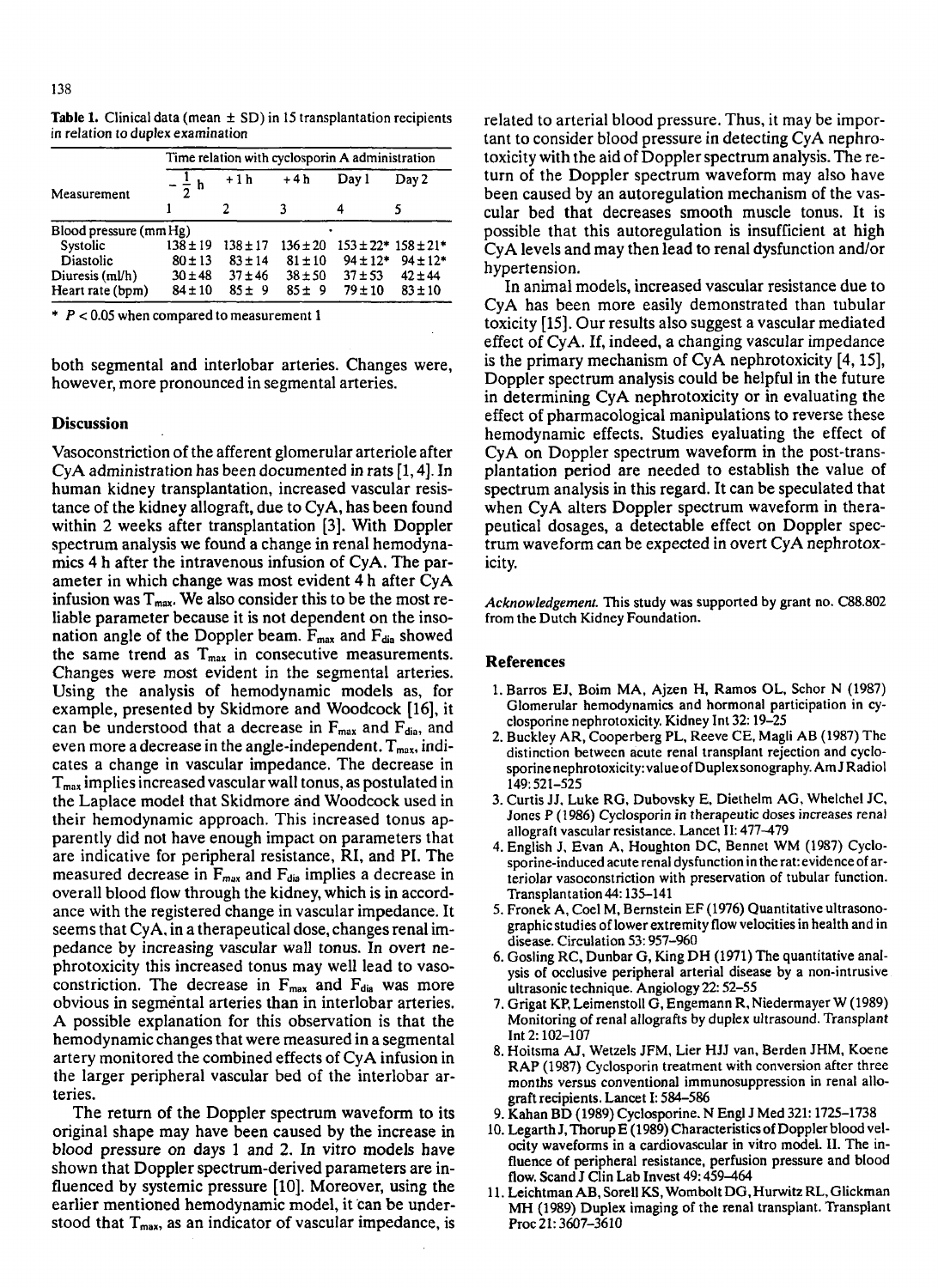|                        | Time relation with cyclosporin A administration |              |              |              |                               |
|------------------------|-------------------------------------------------|--------------|--------------|--------------|-------------------------------|
| Measurement            | $-\frac{1}{2}h$                                 | $+1h$        | $+4h$        | Day 1        | Day 2                         |
|                        |                                                 |              |              |              |                               |
| Blood pressure (mm Hg) |                                                 |              |              |              |                               |
| Systolic               | $138 \pm 19$                                    | $138 \pm 17$ | $136 \pm 20$ |              | $153 \pm 22$ * $158 \pm 21$ * |
| Diastolic              | $80 \pm 13$                                     | $83 \pm 14$  | $81 \pm 10$  | $94 \pm 12*$ | $94 \pm 12*$                  |
| Diuresis (ml/h)        | $30 \pm 48$                                     | $37 + 46$    | $38 + 50$    | $37 + 53$    | $42 \pm 44$                   |
| Heart rate (bpm)       | $84 \pm 10$                                     | $85 + 9$     | 85±9         | $79 + 10$    | $83 \pm 10$                   |

Table 1. Clinical data (mean  $\pm$  SD) in 15 transplantation recipients in relation to duplex examination

\* *P c* 0.05 when compared to measurement 1

both segmental and interlobar arteries. Changes were, however, more pronounced in segmental arteries.

### **Discussion**

Vasoconstriction of the afferent glomerular arteriole after CyA administration has been documented in rats [l, **41.** In human kidney transplantation, increased vascular resistance of the kidney allograft, due to CyA, has been found within 2 weeks after transplantation **[3].** With Doppler spectrum analysis we found a change in renal hemodynamics **4** h after the intravenous infusion of CyA. The parameter in which change was most evident **4** h after CyA infusion was  $T_{\text{max}}$ . We also consider this to be the most reliable parameter because it is not dependent on the insonation angle of the Doppler beam. F<sub>max</sub> and F<sub>dia</sub> showed the same trend as  $T_{max}$  in consecutive measurements. Changes were most evident in the segmental arteries. Using the analysis of hemodynamic models as, for example, presented by Skidmore and Woodcock **[16],** it can be understood that a decrease in  $F_{max}$  and  $F_{dia}$ , and even more a decrease in the angle-independent.  $T_{max}$ , indicates a change in vascular impedance. The decrease in  $T<sub>max</sub>$  implies increased vascular wall tonus, as postulated in the Laplace model that Skidmore and Woodcock used in their hemodynamic approach. This increased tonus apparently did not have enough impact on parameters that are indicative for peripheral resistance, RI, and PI. The measured decrease in  $F_{max}$  and  $F_{dia}$  implies a decrease in overall blood flow through the kidney, which is in accordance with the registered change in vascular impedance. It seems that CyA. in a therapeutical dose, changes renal impedance by increasing vascular wall tonus. In overt nephrotoxicity this increased tonus may well lead *to* vasoconstriction. The decrease in Fmax and Fdia **was** more obvious in segmental arteries than in interlobar arteries. **A** possible explanation for this observation **is** that the hernodynamic changes that were measured in a segmental artery monitored the combined effects of CyA infusion in the larger peripheral vascular bed of the interlobar arteries.

The return of the Doppler spectrum waveform to its original shape may have been caused by the increase in blood pressure **on** days 1 and **2.** In vitro models have shown that Doppler spectrum-derived parameters are influenced by systemic pressure [10]. Moreover, using the earlier mentioned hemodynamic model, it can be understood that T<sub>max</sub>, as an indicator of vascular impedance, is

related to arterial blood pressure. Thus, it may be important to consider blood pressure in detecting CyA nephrotoxicity with the aid **of** Doppler spectrum analysis. The return of the Doppler spectrum waveform may also have been caused by an autoregulation mechanism of the vascular bed that decreases smooth muscle tonus. It **is**  possible that this autoregulation is insufticient at high CyA levels and may then lead to renal dysfunction and/or hypertension.

In animal models, increased vascular resistance due to CyA has been more easily demonstrated than tubular toxicity **[15].** Our results also suggest a vascular mediated effect of CyA. If, indeed, a changing vascular impedance is the primary mechanism of CyA nephrotoxicity **[4,15],**  Doppler spectrum analysis could be helpful in the future in determining CyA nephrotoxicity or in evaluating the effect of pharmacological manipulations to reverse these hemodynamic effects. Studies eyaluating the effect of CyA on Doppler spectrum waveform in the post-transplantation period are needed to establish the value of spectrum analysis in this regard. It can be speculated that when CyA alters Doppler spectrum waveform in therapeutical dosages, a detectable effect on Doppler spectrum waveform can be expected in overt CyA nephrotoxicity.

*Acknowledgement.* This study was supported by grant **no.** C88.802 from the Dutch Kidney Foundation.

## **References**

- 1. Barros EJ, Boim MA, Ajzen H, Ramos OL. Schor N (1987) Glomerular hemodynamics and hormonal participation in cyclosporine nephrotoxicity. Kidney Int 32: 19-25
- 2. Buckley **AR,** Cooperberg PL. Reeve CE. Magli AB (1987) The distinction between acute renal transplant rejection and cyclosporine nephrotoxicity: value of Duplexsonography. Am J Radio1 149:521-525
- 3. Curtis JJ, Luke RG. Dubovsky E. Diethelm AG, Whelchel JC, Jones P **(1** 986) Cyclosporin in therapeutic doses increases renal allograft vascular resistance. Lancet II: 477-479
- 4. English J. Evan A, Houghton DC, Bennet WM (1957) Cyclosporine-induced acute renal dysfunction in the rat:evidence of arteriolar vasoconstriction with preservation of tubular function. Transplantation **44:** 135-141
- 5. Fronek A, Coel M, Bernstein EF (1976) Quantitative ultrasonographicstudies of lower extremity flow velocities in health and in disease. Circulation **53:** 957-960
- 6. Gosling RC, Dunbar G, King DH (1971) The quantitative analysis of occlusive peripheral arterial disease by a non-intrusive ultrasonic technique. Angiology 22: 52–55
- 7. Grigat KP, Leimenstoll G, Engemann R, Niedermayer **W** (1989) Monitoring **of** renal allografts by duplex ultrasound. Transplant Int 2: 102-107
- 8. Hoitsma AJ, Wetzels JFM, Lier HJJ van. Berden JHM, Koene RAP (1987) Cyclosporin treatment with conversion after three months versus conventional immunosuppression in renal allograft recipients. Lancet I: 584-586
- 9. Kahan BD (1989) Cyclosporine. N **Engl** J Med 321: 1725-1738
- 10. Legarth J, Thorup **E** (1989) Characteristics **of** Doppler blood velocity waveforms in a cardiovascular in vitro model. **XI.** The influence of peripheral resistance, perfusion pressure and blood flow. Scand J Clin Lab Invest 49: 459-464
- 11. LeichtmanAB,SorellKS, **WomboltDG.HurwitzRL,Glickman**  MH (1989) Duplex imaging **of** the renal transplant. Transplant Proc **21:** 3607-3610